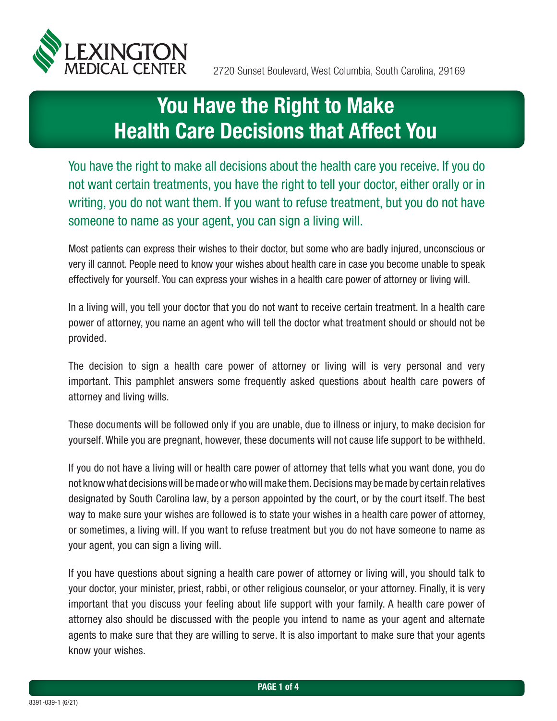

# You Have the Right to Make Health Care Decisions that Affect You

You have the right to make all decisions about the health care you receive. If you do not want certain treatments, you have the right to tell your doctor, either orally or in writing, you do not want them. If you want to refuse treatment, but you do not have someone to name as your agent, you can sign a living will.

Most patients can express their wishes to their doctor, but some who are badly injured, unconscious or very ill cannot. People need to know your wishes about health care in case you become unable to speak effectively for yourself. You can express your wishes in a health care power of attorney or living will.

In a living will, you tell your doctor that you do not want to receive certain treatment. In a health care power of attorney, you name an agent who will tell the doctor what treatment should or should not be provided.

The decision to sign a health care power of attorney or living will is very personal and very important. This pamphlet answers some frequently asked questions about health care powers of attorney and living wills.

These documents will be followed only if you are unable, due to illness or injury, to make decision for yourself. While you are pregnant, however, these documents will not cause life support to be withheld.

If you do not have a living will or health care power of attorney that tells what you want done, you do not know what decisions will be made or who will make them. Decisions may be made by certain relatives designated by South Carolina law, by a person appointed by the court, or by the court itself. The best way to make sure your wishes are followed is to state your wishes in a health care power of attorney, or sometimes, a living will. If you want to refuse treatment but you do not have someone to name as your agent, you can sign a living will.

If you have questions about signing a health care power of attorney or living will, you should talk to your doctor, your minister, priest, rabbi, or other religious counselor, or your attorney. Finally, it is very important that you discuss your feeling about life support with your family. A health care power of attorney also should be discussed with the people you intend to name as your agent and alternate agents to make sure that they are willing to serve. It is also important to make sure that your agents know your wishes.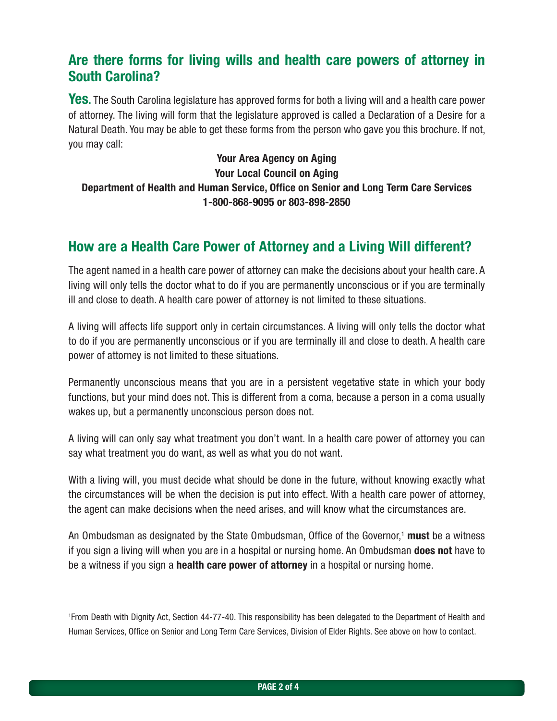## Are there forms for living wills and health care powers of attorney in South Carolina?

Yes. The South Carolina legislature has approved forms for both a living will and a health care power of attorney. The living will form that the legislature approved is called a Declaration of a Desire for a Natural Death. You may be able to get these forms from the person who gave you this brochure. If not, you may call:

Your Area Agency on Aging Your Local Council on Aging Department of Health and Human Service, Office on Senior and Long Term Care Services 1-800-868-9095 or 803-898-2850

## How are a Health Care Power of Attorney and a Living Will different?

The agent named in a health care power of attorney can make the decisions about your health care. A living will only tells the doctor what to do if you are permanently unconscious or if you are terminally ill and close to death. A health care power of attorney is not limited to these situations.

A living will affects life support only in certain circumstances. A living will only tells the doctor what to do if you are permanently unconscious or if you are terminally ill and close to death. A health care power of attorney is not limited to these situations.

Permanently unconscious means that you are in a persistent vegetative state in which your body functions, but your mind does not. This is different from a coma, because a person in a coma usually wakes up, but a permanently unconscious person does not.

A living will can only say what treatment you don't want. In a health care power of attorney you can say what treatment you do want, as well as what you do not want.

With a living will, you must decide what should be done in the future, without knowing exactly what the circumstances will be when the decision is put into effect. With a health care power of attorney, the agent can make decisions when the need arises, and will know what the circumstances are.

An Ombudsman as designated by the State Ombudsman, Office of the Governor,<sup>1</sup> must be a witness if you sign a living will when you are in a hospital or nursing home. An Ombudsman **does not** have to be a witness if you sign a **health care power of attorney** in a hospital or nursing home.

1 From Death with Dignity Act, Section 44-77-40. This responsibility has been delegated to the Department of Health and Human Services, Office on Senior and Long Term Care Services, Division of Elder Rights. See above on how to contact.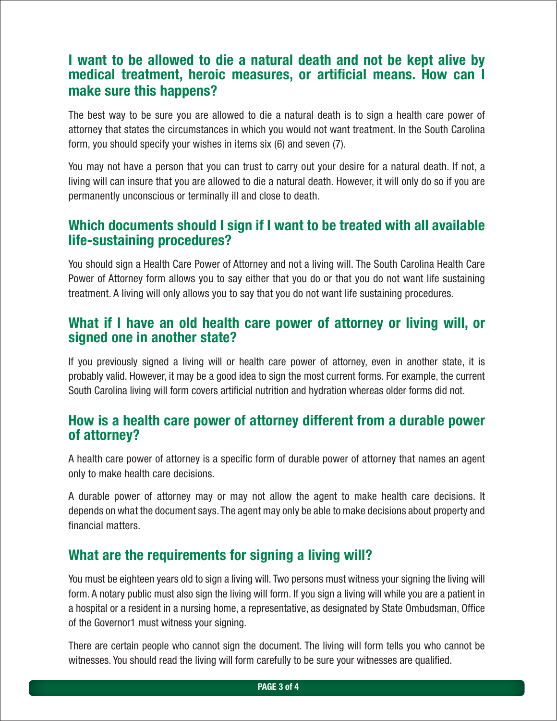### I want to be allowed to die a natural death and not be kept alive by medical treatment, heroic measures, or artificial means. How can I make sure this happens?

The best way to be sure you are allowed to die a natural death is to sign a health care power of attorney that states the circumstances in which you would not want treatment. In the South Carolina form, you should specify your wishes in items six (6) and seven (7).

You may not have a person that you can trust to carry out your desire for a natural death. If not, a living will can insure that you are allowed to die a natural death. However, it will only do so if you are permanently unconscious or terminally ill and close to death.

#### Which documents should I sign if I want to be treated with all available life-sustaining procedures?

You should sign a Health Care Power of Attorney and not a living will. The South Carolina Health Care Power of Attorney form allows you to say either that you do or that you do not want life sustaining treatment. A living will only allows you to say that you do not want life sustaining procedures.

#### What if I have an old health care power of attorney or living will, or signed one in another state?

If you previously signed a living will or health care power of attorney, even in another state, it is probably valid. However, it may be a good idea to sign the most current forms. For example, the current South Carolina living will form covers artificial nutrition and hydration whereas older forms did not.

#### How is a health care power of attorney different from a durable power of attorney?

A health care power of attorney is a specific form of durable power of attorney that names an agent only to make health care decisions.

A durable power of attorney may or may not allow the agent to make health care decisions. It depends on what the document says. The agent may only be able to make decisions about property and financial matters.

#### What are the requirements for signing a living will?

You must be eighteen years old to sign a living will. Two persons must witness your signing the living will form. A notary public must also sign the living will form. If you sign a living will while you are a patient in a hospital or a resident in a nursing home, a representative, as designated by State Ombudsman, Office of the Governor1 must witness your signing.

There are certain people who cannot sign the document. The living will form tells you who cannot be witnesses. You should read the living will form carefully to be sure your witnesses are qualified.